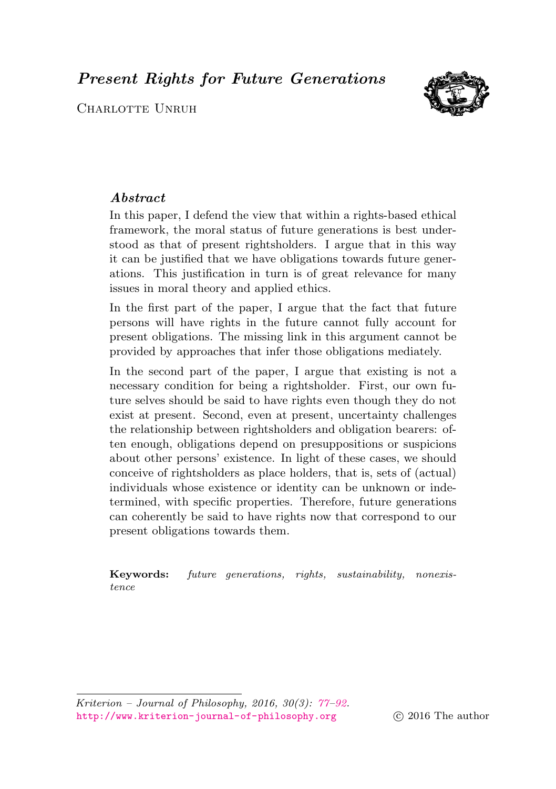<span id="page-0-0"></span>Present Rights for Future Generations

CHARLOTTE UNRUH

# Abstract

In this paper, I defend the view that within a rights-based ethical framework, the moral status of future generations is best understood as that of present rightsholders. I argue that in this way it can be justified that we have obligations towards future generations. This justification in turn is of great relevance for many issues in moral theory and applied ethics.

In the first part of the paper, I argue that the fact that future persons will have rights in the future cannot fully account for present obligations. The missing link in this argument cannot be provided by approaches that infer those obligations mediately.

In the second part of the paper, I argue that existing is not a necessary condition for being a rightsholder. First, our own future selves should be said to have rights even though they do not exist at present. Second, even at present, uncertainty challenges the relationship between rightsholders and obligation bearers: often enough, obligations depend on presuppositions or suspicions about other persons' existence. In light of these cases, we should conceive of rightsholders as place holders, that is, sets of (actual) individuals whose existence or identity can be unknown or indetermined, with specific properties. Therefore, future generations can coherently be said to have rights now that correspond to our present obligations towards them.

Keywords: future generations, rights, sustainability, nonexistence

Kriterion – Journal of Philosophy, 2016, 30(3): [77–](#page-0-0)[92.](#page-14-0) <http://www.kriterion-journal-of-philosophy.org> c 2016 The author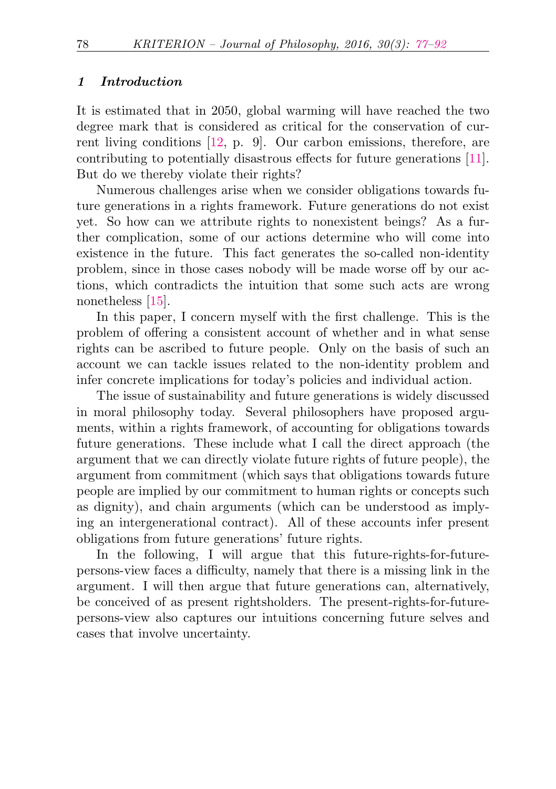#### 1 Introduction

It is estimated that in 2050, global warming will have reached the two degree mark that is considered as critical for the conservation of current living conditions [\[12,](#page-15-0) p. 9]. Our carbon emissions, therefore, are contributing to potentially disastrous effects for future generations [\[11\]](#page-14-1). But do we thereby violate their rights?

Numerous challenges arise when we consider obligations towards future generations in a rights framework. Future generations do not exist yet. So how can we attribute rights to nonexistent beings? As a further complication, some of our actions determine who will come into existence in the future. This fact generates the so-called non-identity problem, since in those cases nobody will be made worse off by our actions, which contradicts the intuition that some such acts are wrong nonetheless [\[15\]](#page-15-1).

In this paper, I concern myself with the first challenge. This is the problem of offering a consistent account of whether and in what sense rights can be ascribed to future people. Only on the basis of such an account we can tackle issues related to the non-identity problem and infer concrete implications for today's policies and individual action.

The issue of sustainability and future generations is widely discussed in moral philosophy today. Several philosophers have proposed arguments, within a rights framework, of accounting for obligations towards future generations. These include what I call the direct approach (the argument that we can directly violate future rights of future people), the argument from commitment (which says that obligations towards future people are implied by our commitment to human rights or concepts such as dignity), and chain arguments (which can be understood as implying an intergenerational contract). All of these accounts infer present obligations from future generations' future rights.

In the following, I will argue that this future-rights-for-futurepersons-view faces a difficulty, namely that there is a missing link in the argument. I will then argue that future generations can, alternatively, be conceived of as present rightsholders. The present-rights-for-futurepersons-view also captures our intuitions concerning future selves and cases that involve uncertainty.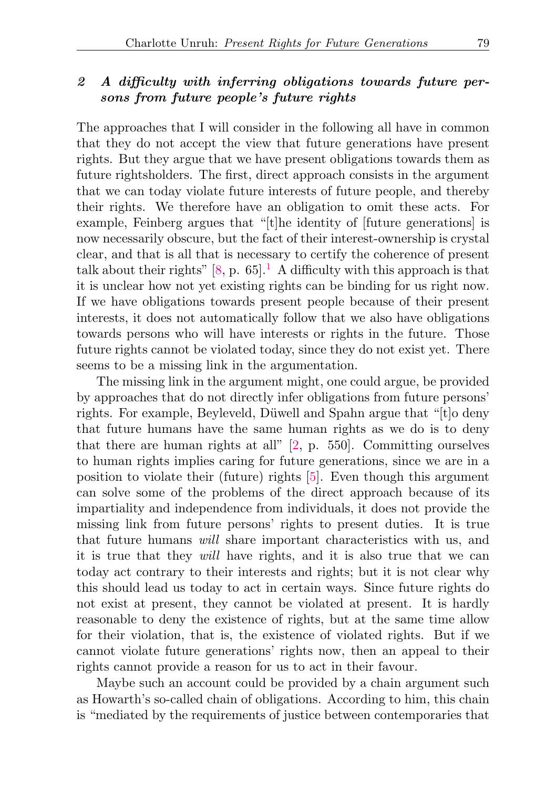## 2 A difficulty with inferring obligations towards future persons from future people's future rights

The approaches that I will consider in the following all have in common that they do not accept the view that future generations have present rights. But they argue that we have present obligations towards them as future rightsholders. The first, direct approach consists in the argument that we can today violate future interests of future people, and thereby their rights. We therefore have an obligation to omit these acts. For example, Feinberg argues that "[t]he identity of [future generations] is now necessarily obscure, but the fact of their interest-ownership is crystal clear, and that is all that is necessary to certify the coherence of present talk about their rights"  $[8, p. 65]$  $[8, p. 65]$ <sup>[1](#page-11-0)</sup> A difficulty with this approach is that it is unclear how not yet existing rights can be binding for us right now. If we have obligations towards present people because of their present interests, it does not automatically follow that we also have obligations towards persons who will have interests or rights in the future. Those future rights cannot be violated today, since they do not exist yet. There seems to be a missing link in the argumentation.

<span id="page-2-0"></span>The missing link in the argument might, one could argue, be provided by approaches that do not directly infer obligations from future persons' rights. For example, Beyleveld, Düwell and Spahn argue that "[t]o deny that future humans have the same human rights as we do is to deny that there are human rights at all" [\[2,](#page-14-3) p. 550]. Committing ourselves to human rights implies caring for future generations, since we are in a position to violate their (future) rights [\[5\]](#page-14-4). Even though this argument can solve some of the problems of the direct approach because of its impartiality and independence from individuals, it does not provide the missing link from future persons' rights to present duties. It is true that future humans will share important characteristics with us, and it is true that they will have rights, and it is also true that we can today act contrary to their interests and rights; but it is not clear why this should lead us today to act in certain ways. Since future rights do not exist at present, they cannot be violated at present. It is hardly reasonable to deny the existence of rights, but at the same time allow for their violation, that is, the existence of violated rights. But if we cannot violate future generations' rights now, then an appeal to their rights cannot provide a reason for us to act in their favour.

Maybe such an account could be provided by a chain argument such as Howarth's so-called chain of obligations. According to him, this chain is "mediated by the requirements of justice between contemporaries that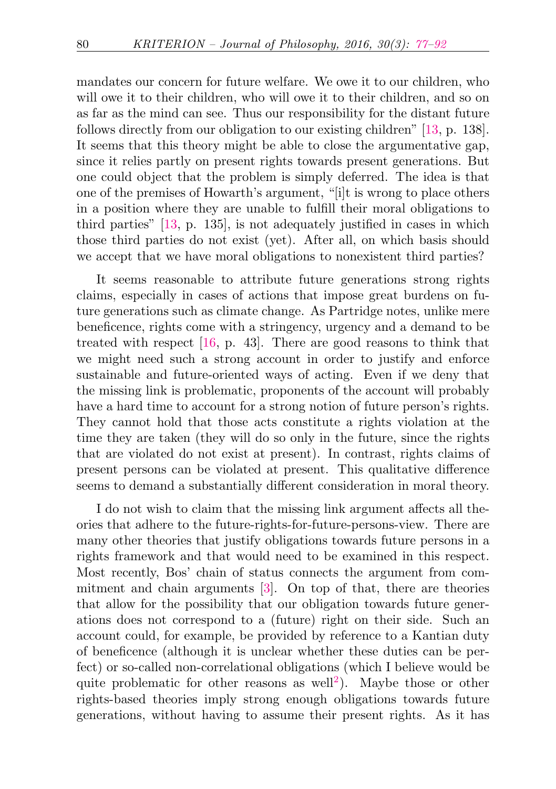mandates our concern for future welfare. We owe it to our children, who will owe it to their children, who will owe it to their children, and so on as far as the mind can see. Thus our responsibility for the distant future follows directly from our obligation to our existing children" [\[13,](#page-15-2) p. 138]. It seems that this theory might be able to close the argumentative gap, since it relies partly on present rights towards present generations. But one could object that the problem is simply deferred. The idea is that one of the premises of Howarth's argument, "[i]t is wrong to place others in a position where they are unable to fulfill their moral obligations to third parties" [\[13,](#page-15-2) p. 135], is not adequately justified in cases in which those third parties do not exist (yet). After all, on which basis should we accept that we have moral obligations to nonexistent third parties?

It seems reasonable to attribute future generations strong rights claims, especially in cases of actions that impose great burdens on future generations such as climate change. As Partridge notes, unlike mere beneficence, rights come with a stringency, urgency and a demand to be treated with respect [\[16,](#page-15-3) p. 43]. There are good reasons to think that we might need such a strong account in order to justify and enforce sustainable and future-oriented ways of acting. Even if we deny that the missing link is problematic, proponents of the account will probably have a hard time to account for a strong notion of future person's rights. They cannot hold that those acts constitute a rights violation at the time they are taken (they will do so only in the future, since the rights that are violated do not exist at present). In contrast, rights claims of present persons can be violated at present. This qualitative difference seems to demand a substantially different consideration in moral theory.

<span id="page-3-0"></span>I do not wish to claim that the missing link argument affects all theories that adhere to the future-rights-for-future-persons-view. There are many other theories that justify obligations towards future persons in a rights framework and that would need to be examined in this respect. Most recently, Bos' chain of status connects the argument from commitment and chain arguments [\[3\]](#page-14-5). On top of that, there are theories that allow for the possibility that our obligation towards future generations does not correspond to a (future) right on their side. Such an account could, for example, be provided by reference to a Kantian duty of beneficence (although it is unclear whether these duties can be perfect) or so-called non-correlational obligations (which I believe would be quite problematic for other reasons as well<sup>[2](#page-11-1)</sup>). Maybe those or other rights-based theories imply strong enough obligations towards future generations, without having to assume their present rights. As it has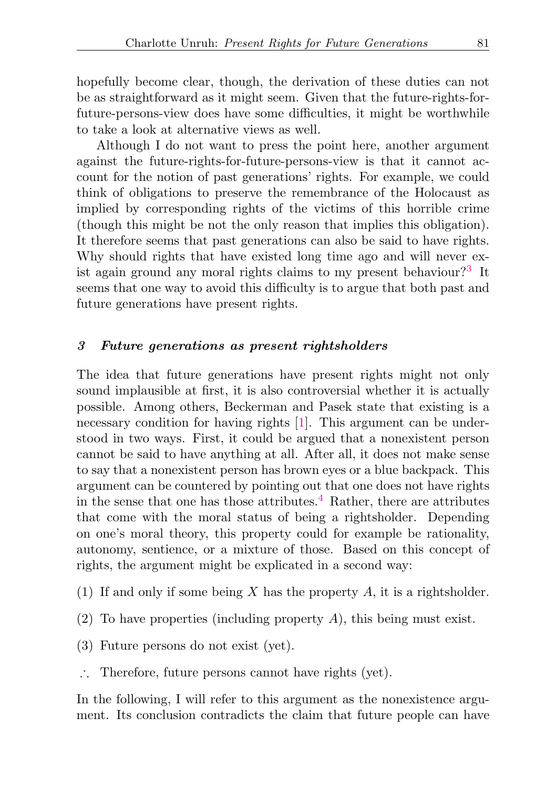hopefully become clear, though, the derivation of these duties can not be as straightforward as it might seem. Given that the future-rights-forfuture-persons-view does have some difficulties, it might be worthwhile to take a look at alternative views as well.

Although I do not want to press the point here, another argument against the future-rights-for-future-persons-view is that it cannot account for the notion of past generations' rights. For example, we could think of obligations to preserve the remembrance of the Holocaust as implied by corresponding rights of the victims of this horrible crime (though this might be not the only reason that implies this obligation). It therefore seems that past generations can also be said to have rights. Why should rights that have existed long time ago and will never exist again ground any moral rights claims to my present behaviour?[3](#page-12-0) It seems that one way to avoid this difficulty is to argue that both past and future generations have present rights.

## <span id="page-4-2"></span>3 Future generations as present rightsholders

The idea that future generations have present rights might not only sound implausible at first, it is also controversial whether it is actually possible. Among others, Beckerman and Pasek state that existing is a necessary condition for having rights [\[1\]](#page-14-6). This argument can be understood in two ways. First, it could be argued that a nonexistent person cannot be said to have anything at all. After all, it does not make sense to say that a nonexistent person has brown eyes or a blue backpack. This argument can be countered by pointing out that one does not have rights in the sense that one has those attributes.<sup>[4](#page-12-1)</sup> Rather, there are attributes that come with the moral status of being a rightsholder. Depending on one's moral theory, this property could for example be rationality, autonomy, sentience, or a mixture of those. Based on this concept of rights, the argument might be explicated in a second way:

- <span id="page-4-3"></span><span id="page-4-1"></span>(1) If and only if some being X has the property  $A$ , it is a rightsholder.
- <span id="page-4-0"></span>(2) To have properties (including property  $A$ ), this being must exist.
- (3) Future persons do not exist (yet).
- ∴ Therefore, future persons cannot have rights (yet).

In the following, I will refer to this argument as the nonexistence argument. Its conclusion contradicts the claim that future people can have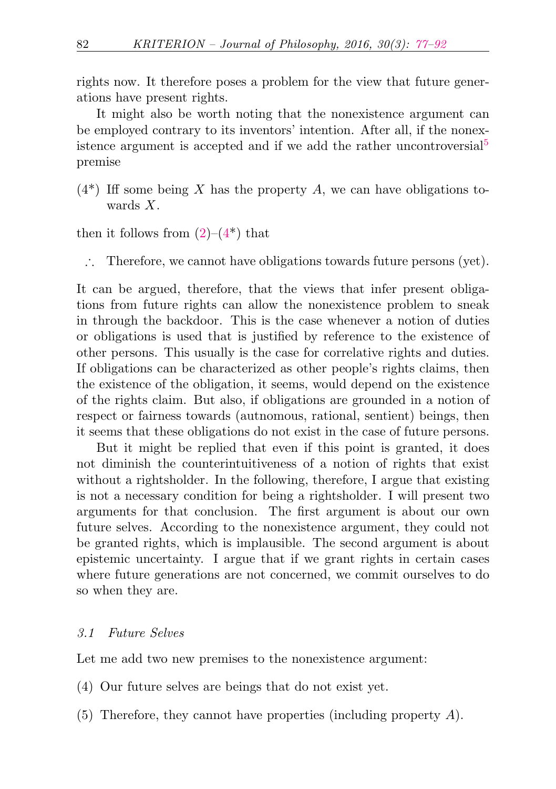rights now. It therefore poses a problem for the view that future generations have present rights.

<span id="page-5-1"></span>It might also be worth noting that the nonexistence argument can be employed contrary to its inventors' intention. After all, if the nonex-istence argument is accepted and if we add the rather uncontroversial<sup>[5](#page-12-2)</sup> premise

<span id="page-5-0"></span> $(4^*)$  Iff some being X has the property A, we can have obligations towards X.

then it follows from  $(2)-(4^*)$  $(2)-(4^*)$  that

∴ Therefore, we cannot have obligations towards future persons (yet).

It can be argued, therefore, that the views that infer present obligations from future rights can allow the nonexistence problem to sneak in through the backdoor. This is the case whenever a notion of duties or obligations is used that is justified by reference to the existence of other persons. This usually is the case for correlative rights and duties. If obligations can be characterized as other people's rights claims, then the existence of the obligation, it seems, would depend on the existence of the rights claim. But also, if obligations are grounded in a notion of respect or fairness towards (autnomous, rational, sentient) beings, then it seems that these obligations do not exist in the case of future persons.

But it might be replied that even if this point is granted, it does not diminish the counterintuitiveness of a notion of rights that exist without a rightsholder. In the following, therefore, I argue that existing is not a necessary condition for being a rightsholder. I will present two arguments for that conclusion. The first argument is about our own future selves. According to the nonexistence argument, they could not be granted rights, which is implausible. The second argument is about epistemic uncertainty. I argue that if we grant rights in certain cases where future generations are not concerned, we commit ourselves to do so when they are.

## 3.1 Future Selves

Let me add two new premises to the nonexistence argument:

- (4) Our future selves are beings that do not exist yet.
- $(5)$  Therefore, they cannot have properties (including property A).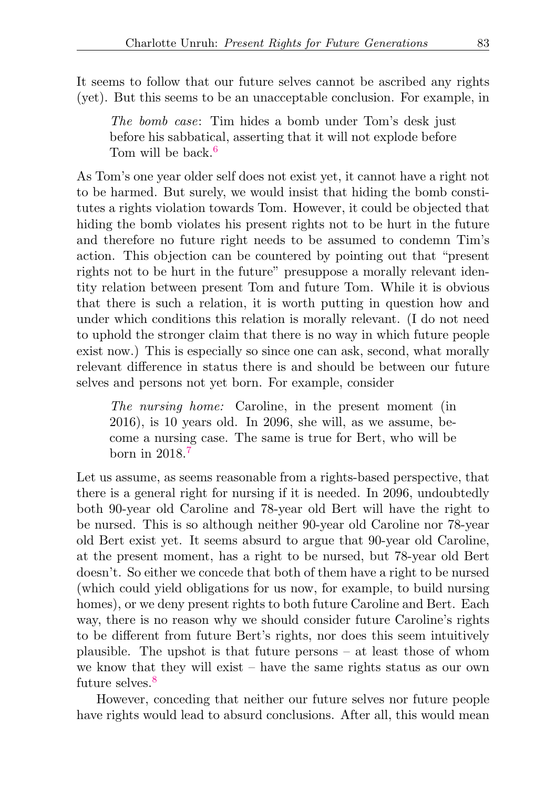It seems to follow that our future selves cannot be ascribed any rights (yet). But this seems to be an unacceptable conclusion. For example, in

<span id="page-6-0"></span>The bomb case: Tim hides a bomb under Tom's desk just before his sabbatical, asserting that it will not explode before Tom will be back <sup>[6](#page-12-3)</sup>

As Tom's one year older self does not exist yet, it cannot have a right not to be harmed. But surely, we would insist that hiding the bomb constitutes a rights violation towards Tom. However, it could be objected that hiding the bomb violates his present rights not to be hurt in the future and therefore no future right needs to be assumed to condemn Tim's action. This objection can be countered by pointing out that "present rights not to be hurt in the future" presuppose a morally relevant identity relation between present Tom and future Tom. While it is obvious that there is such a relation, it is worth putting in question how and under which conditions this relation is morally relevant. (I do not need to uphold the stronger claim that there is no way in which future people exist now.) This is especially so since one can ask, second, what morally relevant difference in status there is and should be between our future selves and persons not yet born. For example, consider

<span id="page-6-1"></span>The nursing home: Caroline, in the present moment (in 2016), is 10 years old. In 2096, she will, as we assume, become a nursing case. The same is true for Bert, who will be born in 2018.[7](#page-12-4)

Let us assume, as seems reasonable from a rights-based perspective, that there is a general right for nursing if it is needed. In 2096, undoubtedly both 90-year old Caroline and 78-year old Bert will have the right to be nursed. This is so although neither 90-year old Caroline nor 78-year old Bert exist yet. It seems absurd to argue that 90-year old Caroline, at the present moment, has a right to be nursed, but 78-year old Bert doesn't. So either we concede that both of them have a right to be nursed (which could yield obligations for us now, for example, to build nursing homes), or we deny present rights to both future Caroline and Bert. Each way, there is no reason why we should consider future Caroline's rights to be different from future Bert's rights, nor does this seem intuitively plausible. The upshot is that future persons – at least those of whom we know that they will exist – have the same rights status as our own future selves.<sup>[8](#page-12-5)</sup>

<span id="page-6-2"></span>However, conceding that neither our future selves nor future people have rights would lead to absurd conclusions. After all, this would mean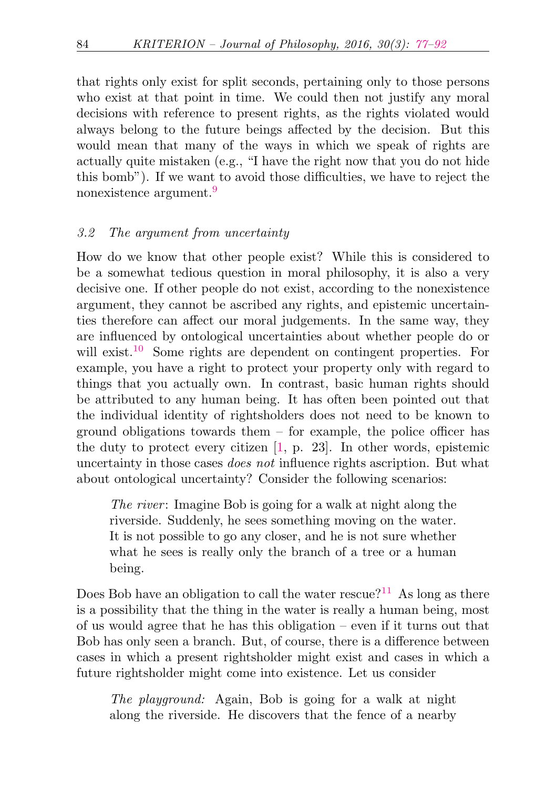that rights only exist for split seconds, pertaining only to those persons who exist at that point in time. We could then not justify any moral decisions with reference to present rights, as the rights violated would always belong to the future beings affected by the decision. But this would mean that many of the ways in which we speak of rights are actually quite mistaken (e.g., "I have the right now that you do not hide this bomb"). If we want to avoid those difficulties, we have to reject the nonexistence argument.<sup>[9](#page-12-6)</sup>

## <span id="page-7-0"></span>3.2 The argument from uncertainty

<span id="page-7-1"></span>How do we know that other people exist? While this is considered to be a somewhat tedious question in moral philosophy, it is also a very decisive one. If other people do not exist, according to the nonexistence argument, they cannot be ascribed any rights, and epistemic uncertainties therefore can affect our moral judgements. In the same way, they are influenced by ontological uncertainties about whether people do or will exist.<sup>[10](#page-12-7)</sup> Some rights are dependent on contingent properties. For example, you have a right to protect your property only with regard to things that you actually own. In contrast, basic human rights should be attributed to any human being. It has often been pointed out that the individual identity of rightsholders does not need to be known to ground obligations towards them – for example, the police officer has the duty to protect every citizen [\[1,](#page-14-6) p. 23]. In other words, epistemic uncertainty in those cases does not influence rights ascription. But what about ontological uncertainty? Consider the following scenarios:

<span id="page-7-2"></span>The river: Imagine Bob is going for a walk at night along the riverside. Suddenly, he sees something moving on the water. It is not possible to go any closer, and he is not sure whether what he sees is really only the branch of a tree or a human being.

Does Bob have an obligation to call the water rescue?<sup>[11](#page-13-0)</sup> As long as there is a possibility that the thing in the water is really a human being, most of us would agree that he has this obligation – even if it turns out that Bob has only seen a branch. But, of course, there is a difference between cases in which a present rightsholder might exist and cases in which a future rightsholder might come into existence. Let us consider

The playground: Again, Bob is going for a walk at night along the riverside. He discovers that the fence of a nearby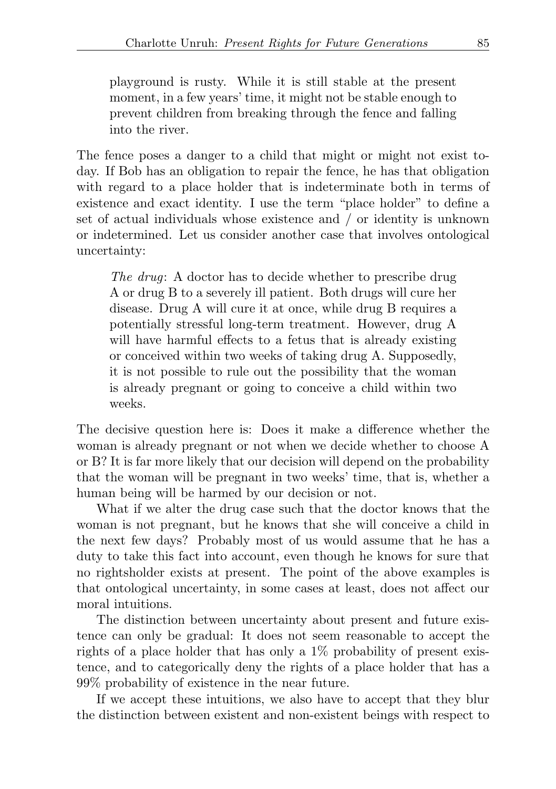playground is rusty. While it is still stable at the present moment, in a few years' time, it might not be stable enough to prevent children from breaking through the fence and falling into the river.

The fence poses a danger to a child that might or might not exist today. If Bob has an obligation to repair the fence, he has that obligation with regard to a place holder that is indeterminate both in terms of existence and exact identity. I use the term "place holder" to define a set of actual individuals whose existence and / or identity is unknown or indetermined. Let us consider another case that involves ontological uncertainty:

The drug: A doctor has to decide whether to prescribe drug A or drug B to a severely ill patient. Both drugs will cure her disease. Drug A will cure it at once, while drug B requires a potentially stressful long-term treatment. However, drug A will have harmful effects to a fetus that is already existing or conceived within two weeks of taking drug A. Supposedly, it is not possible to rule out the possibility that the woman is already pregnant or going to conceive a child within two weeks.

The decisive question here is: Does it make a difference whether the woman is already pregnant or not when we decide whether to choose A or B? It is far more likely that our decision will depend on the probability that the woman will be pregnant in two weeks' time, that is, whether a human being will be harmed by our decision or not.

What if we alter the drug case such that the doctor knows that the woman is not pregnant, but he knows that she will conceive a child in the next few days? Probably most of us would assume that he has a duty to take this fact into account, even though he knows for sure that no rightsholder exists at present. The point of the above examples is that ontological uncertainty, in some cases at least, does not affect our moral intuitions.

The distinction between uncertainty about present and future existence can only be gradual: It does not seem reasonable to accept the rights of a place holder that has only a 1% probability of present existence, and to categorically deny the rights of a place holder that has a 99% probability of existence in the near future.

If we accept these intuitions, we also have to accept that they blur the distinction between existent and non-existent beings with respect to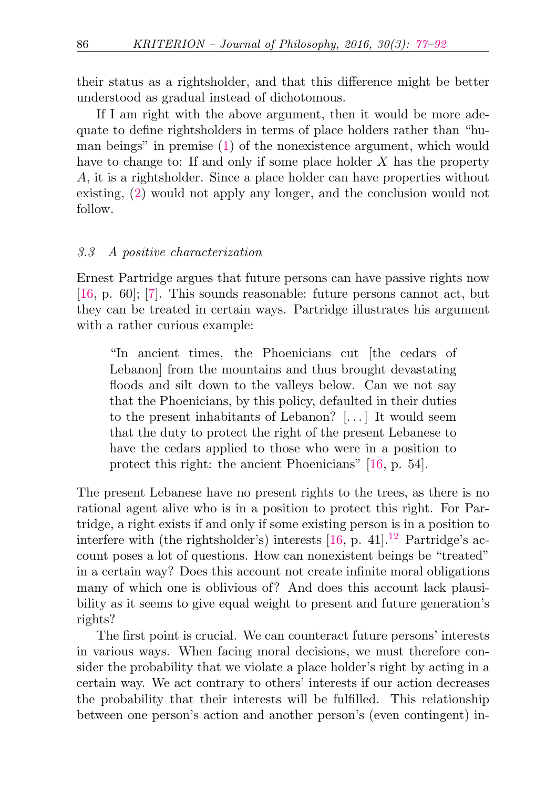their status as a rightsholder, and that this difference might be better understood as gradual instead of dichotomous.

If I am right with the above argument, then it would be more adequate to define rightsholders in terms of place holders rather than "human beings" in premise [\(1\)](#page-4-1) of the nonexistence argument, which would have to change to: If and only if some place holder  $X$  has the property A, it is a rightsholder. Since a place holder can have properties without existing, [\(2\)](#page-4-0) would not apply any longer, and the conclusion would not follow.

#### 3.3 A positive characterization

Ernest Partridge argues that future persons can have passive rights now [\[16,](#page-15-3) p. 60]; [\[7\]](#page-14-7). This sounds reasonable: future persons cannot act, but they can be treated in certain ways. Partridge illustrates his argument with a rather curious example:

"In ancient times, the Phoenicians cut [the cedars of Lebanon] from the mountains and thus brought devastating floods and silt down to the valleys below. Can we not say that the Phoenicians, by this policy, defaulted in their duties to the present inhabitants of Lebanon? [. . . ] It would seem that the duty to protect the right of the present Lebanese to have the cedars applied to those who were in a position to protect this right: the ancient Phoenicians" [\[16,](#page-15-3) p. 54].

<span id="page-9-0"></span>The present Lebanese have no present rights to the trees, as there is no rational agent alive who is in a position to protect this right. For Partridge, a right exists if and only if some existing person is in a position to interfere with (the rightsholder's) interests  $[16, p. 41]$  $[16, p. 41]$ .<sup>[12](#page-13-1)</sup> Partridge's account poses a lot of questions. How can nonexistent beings be "treated" in a certain way? Does this account not create infinite moral obligations many of which one is oblivious of? And does this account lack plausibility as it seems to give equal weight to present and future generation's rights?

The first point is crucial. We can counteract future persons' interests in various ways. When facing moral decisions, we must therefore consider the probability that we violate a place holder's right by acting in a certain way. We act contrary to others' interests if our action decreases the probability that their interests will be fulfilled. This relationship between one person's action and another person's (even contingent) in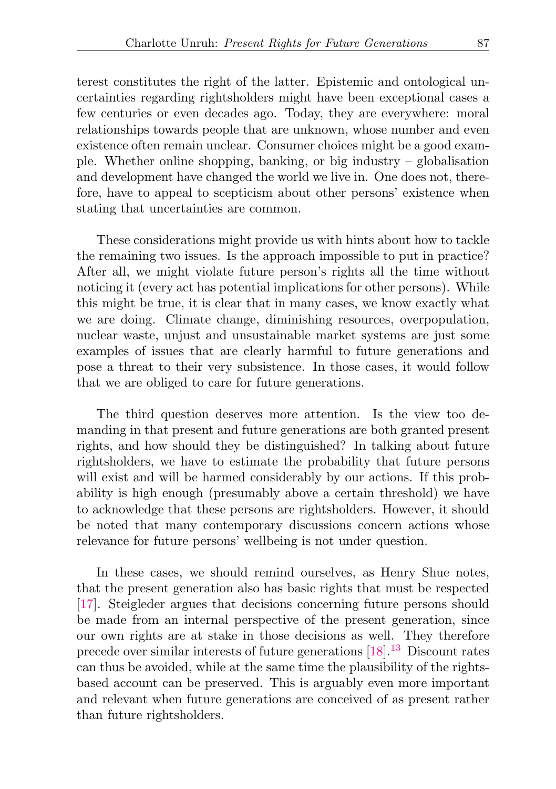terest constitutes the right of the latter. Epistemic and ontological uncertainties regarding rightsholders might have been exceptional cases a few centuries or even decades ago. Today, they are everywhere: moral relationships towards people that are unknown, whose number and even existence often remain unclear. Consumer choices might be a good example. Whether online shopping, banking, or big industry – globalisation and development have changed the world we live in. One does not, therefore, have to appeal to scepticism about other persons' existence when stating that uncertainties are common.

These considerations might provide us with hints about how to tackle the remaining two issues. Is the approach impossible to put in practice? After all, we might violate future person's rights all the time without noticing it (every act has potential implications for other persons). While this might be true, it is clear that in many cases, we know exactly what we are doing. Climate change, diminishing resources, overpopulation, nuclear waste, unjust and unsustainable market systems are just some examples of issues that are clearly harmful to future generations and pose a threat to their very subsistence. In those cases, it would follow that we are obliged to care for future generations.

The third question deserves more attention. Is the view too demanding in that present and future generations are both granted present rights, and how should they be distinguished? In talking about future rightsholders, we have to estimate the probability that future persons will exist and will be harmed considerably by our actions. If this probability is high enough (presumably above a certain threshold) we have to acknowledge that these persons are rightsholders. However, it should be noted that many contemporary discussions concern actions whose relevance for future persons' wellbeing is not under question.

<span id="page-10-0"></span>In these cases, we should remind ourselves, as Henry Shue notes, that the present generation also has basic rights that must be respected [\[17\]](#page-15-4). Steigleder argues that decisions concerning future persons should be made from an internal perspective of the present generation, since our own rights are at stake in those decisions as well. They therefore precede over similar interests of future generations [\[18\]](#page-15-5).[13](#page-13-2) Discount rates can thus be avoided, while at the same time the plausibility of the rightsbased account can be preserved. This is arguably even more important and relevant when future generations are conceived of as present rather than future rightsholders.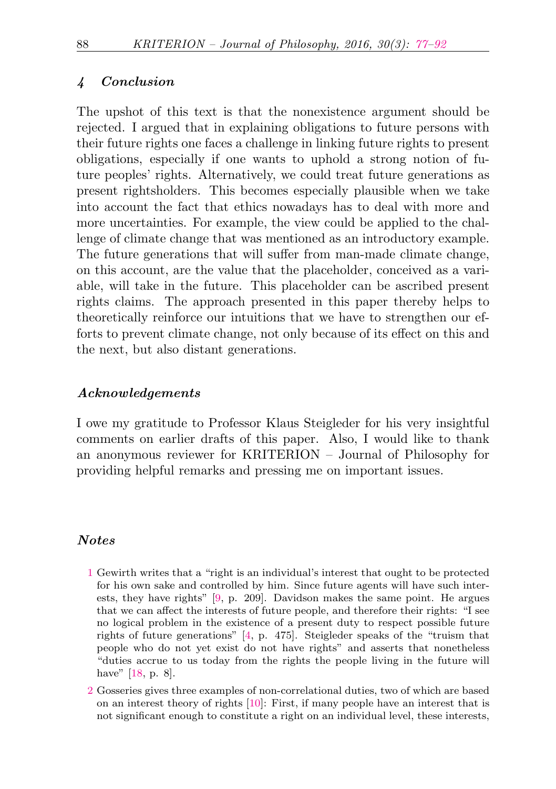## 4 Conclusion

The upshot of this text is that the nonexistence argument should be rejected. I argued that in explaining obligations to future persons with their future rights one faces a challenge in linking future rights to present obligations, especially if one wants to uphold a strong notion of future peoples' rights. Alternatively, we could treat future generations as present rightsholders. This becomes especially plausible when we take into account the fact that ethics nowadays has to deal with more and more uncertainties. For example, the view could be applied to the challenge of climate change that was mentioned as an introductory example. The future generations that will suffer from man-made climate change, on this account, are the value that the placeholder, conceived as a variable, will take in the future. This placeholder can be ascribed present rights claims. The approach presented in this paper thereby helps to theoretically reinforce our intuitions that we have to strengthen our efforts to prevent climate change, not only because of its effect on this and the next, but also distant generations.

## Acknowledgements

I owe my gratitude to Professor Klaus Steigleder for his very insightful comments on earlier drafts of this paper. Also, I would like to thank an anonymous reviewer for KRITERION – Journal of Philosophy for providing helpful remarks and pressing me on important issues.

#### Notes

- <span id="page-11-0"></span>[1](#page-2-0) Gewirth writes that a "right is an individual's interest that ought to be protected for his own sake and controlled by him. Since future agents will have such interests, they have rights" [\[9,](#page-14-8) p. 209]. Davidson makes the same point. He argues that we can affect the interests of future people, and therefore their rights: "I see no logical problem in the existence of a present duty to respect possible future rights of future generations" [\[4,](#page-14-9) p. 475]. Steigleder speaks of the "truism that people who do not yet exist do not have rights" and asserts that nonetheless "duties accrue to us today from the rights the people living in the future will have" [\[18,](#page-15-5) p. 8].
- <span id="page-11-1"></span>[2](#page-3-0) Gosseries gives three examples of non-correlational duties, two of which are based on an interest theory of rights [\[10\]](#page-14-10): First, if many people have an interest that is not significant enough to constitute a right on an individual level, these interests,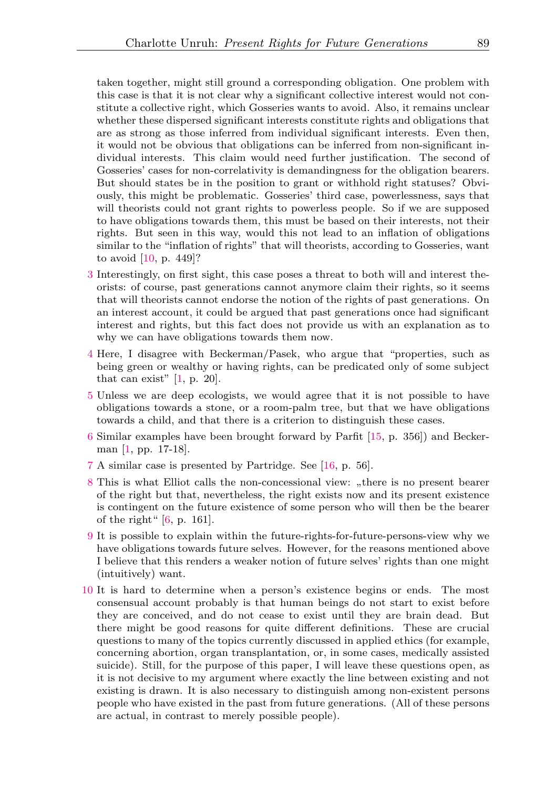taken together, might still ground a corresponding obligation. One problem with this case is that it is not clear why a significant collective interest would not constitute a collective right, which Gosseries wants to avoid. Also, it remains unclear whether these dispersed significant interests constitute rights and obligations that are as strong as those inferred from individual significant interests. Even then, it would not be obvious that obligations can be inferred from non-significant individual interests. This claim would need further justification. The second of Gosseries' cases for non-correlativity is demandingness for the obligation bearers. But should states be in the position to grant or withhold right statuses? Obviously, this might be problematic. Gosseries' third case, powerlessness, says that will theorists could not grant rights to powerless people. So if we are supposed to have obligations towards them, this must be based on their interests, not their rights. But seen in this way, would this not lead to an inflation of obligations similar to the "inflation of rights" that will theorists, according to Gosseries, want to avoid [\[10,](#page-14-10) p. 449]?

- <span id="page-12-0"></span>[3](#page-4-2) Interestingly, on first sight, this case poses a threat to both will and interest theorists: of course, past generations cannot anymore claim their rights, so it seems that will theorists cannot endorse the notion of the rights of past generations. On an interest account, it could be argued that past generations once had significant interest and rights, but this fact does not provide us with an explanation as to why we can have obligations towards them now.
- <span id="page-12-1"></span>[4](#page-4-3) Here, I disagree with Beckerman/Pasek, who argue that "properties, such as being green or wealthy or having rights, can be predicated only of some subject that can exist"  $[1, p. 20]$  $[1, p. 20]$ .
- <span id="page-12-2"></span>[5](#page-5-1) Unless we are deep ecologists, we would agree that it is not possible to have obligations towards a stone, or a room-palm tree, but that we have obligations towards a child, and that there is a criterion to distinguish these cases.
- <span id="page-12-3"></span>[6](#page-6-0) Similar examples have been brought forward by Parfit [\[15,](#page-15-1) p. 356]) and Beckerman [\[1,](#page-14-6) pp. 17-18].
- <span id="page-12-4"></span>[7](#page-6-1) A similar case is presented by Partridge. See [\[16,](#page-15-3) p. 56].
- <span id="page-12-5"></span> $8$  This is what Elliot calls the non-concessional view: "there is no present bearer of the right but that, nevertheless, the right exists now and its present existence is contingent on the future existence of some person who will then be the bearer of the right" [\[6,](#page-14-11) p. 161].
- <span id="page-12-6"></span>[9](#page-7-0) It is possible to explain within the future-rights-for-future-persons-view why we have obligations towards future selves. However, for the reasons mentioned above I believe that this renders a weaker notion of future selves' rights than one might (intuitively) want.
- <span id="page-12-7"></span>[10](#page-7-1) It is hard to determine when a person's existence begins or ends. The most consensual account probably is that human beings do not start to exist before they are conceived, and do not cease to exist until they are brain dead. But there might be good reasons for quite different definitions. These are crucial questions to many of the topics currently discussed in applied ethics (for example, concerning abortion, organ transplantation, or, in some cases, medically assisted suicide). Still, for the purpose of this paper, I will leave these questions open, as it is not decisive to my argument where exactly the line between existing and not existing is drawn. It is also necessary to distinguish among non-existent persons people who have existed in the past from future generations. (All of these persons are actual, in contrast to merely possible people).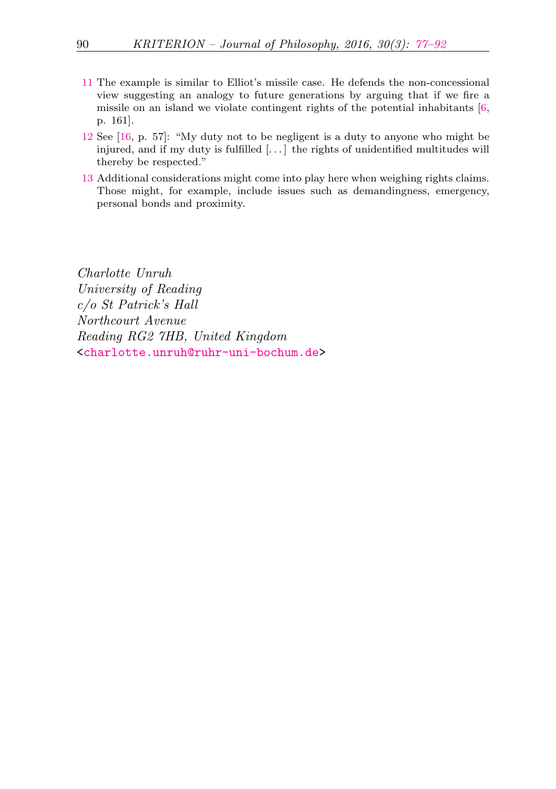- <span id="page-13-0"></span>[11](#page-7-2) The example is similar to Elliot's missile case. He defends the non-concessional view suggesting an analogy to future generations by arguing that if we fire a missile on an island we violate contingent rights of the potential inhabitants [\[6,](#page-14-11) p. 161].
- <span id="page-13-1"></span>[12](#page-9-0) See [\[16,](#page-15-3) p. 57]: "My duty not to be negligent is a duty to anyone who might be injured, and if my duty is fulfilled [. . . ] the rights of unidentified multitudes will thereby be respected."
- <span id="page-13-2"></span>[13](#page-10-0) Additional considerations might come into play here when weighing rights claims. Those might, for example, include issues such as demandingness, emergency, personal bonds and proximity.

Charlotte Unruh University of Reading c/o St Patrick's Hall Northcourt Avenue Reading RG2 7HB, United Kingdom [<charlotte.unruh@ruhr-uni-bochum.de>](mailto:charlotte.unruh@ruhr-uni-bochum.de)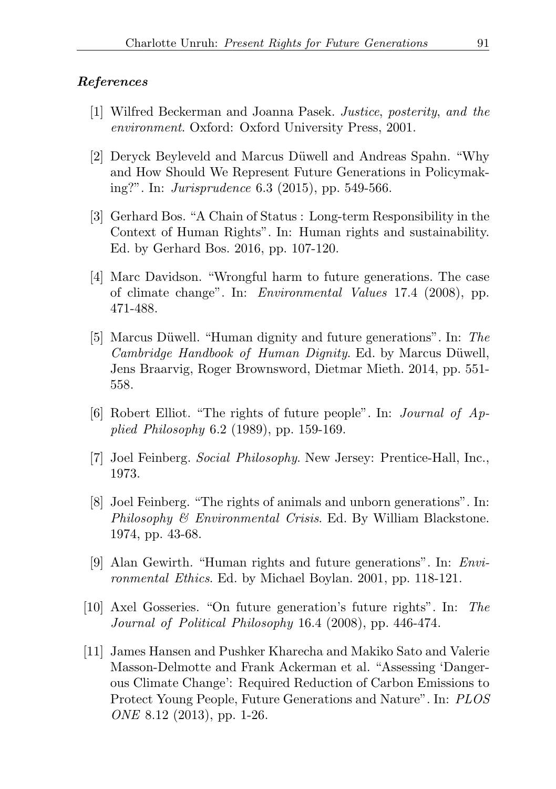## <span id="page-14-0"></span>References

- <span id="page-14-6"></span>[1] Wilfred Beckerman and Joanna Pasek. Justice, posterity, and the environment. Oxford: Oxford University Press, 2001.
- <span id="page-14-3"></span>[2] Deryck Beyleveld and Marcus Düwell and Andreas Spahn. "Why and How Should We Represent Future Generations in Policymaking?". In: Jurisprudence 6.3 (2015), pp. 549-566.
- <span id="page-14-5"></span>[3] Gerhard Bos. "A Chain of Status : Long-term Responsibility in the Context of Human Rights". In: Human rights and sustainability. Ed. by Gerhard Bos. 2016, pp. 107-120.
- <span id="page-14-9"></span>[4] Marc Davidson. "Wrongful harm to future generations. The case of climate change". In: Environmental Values 17.4 (2008), pp. 471-488.
- <span id="page-14-4"></span>[5] Marcus Düwell. "Human dignity and future generations". In: The Cambridge Handbook of Human Dignity. Ed. by Marcus Düwell, Jens Braarvig, Roger Brownsword, Dietmar Mieth. 2014, pp. 551- 558.
- <span id="page-14-11"></span>[6] Robert Elliot. "The rights of future people". In: Journal of Applied Philosophy 6.2 (1989), pp. 159-169.
- <span id="page-14-7"></span>[7] Joel Feinberg. Social Philosophy. New Jersey: Prentice-Hall, Inc., 1973.
- <span id="page-14-2"></span>[8] Joel Feinberg. "The rights of animals and unborn generations". In: Philosophy & Environmental Crisis. Ed. By William Blackstone. 1974, pp. 43-68.
- <span id="page-14-8"></span>[9] Alan Gewirth. "Human rights and future generations". In: Environmental Ethics. Ed. by Michael Boylan. 2001, pp. 118-121.
- <span id="page-14-10"></span>[10] Axel Gosseries. "On future generation's future rights". In: The Journal of Political Philosophy 16.4 (2008), pp. 446-474.
- <span id="page-14-1"></span>[11] James Hansen and Pushker Kharecha and Makiko Sato and Valerie Masson-Delmotte and Frank Ackerman et al. "Assessing 'Dangerous Climate Change': Required Reduction of Carbon Emissions to Protect Young People, Future Generations and Nature". In: PLOS ONE 8.12 (2013), pp. 1-26.